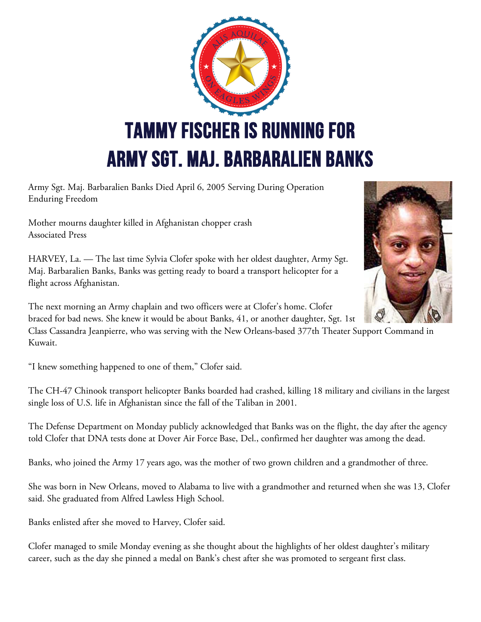

Army Sgt. Maj. Barbaralien Banks Died April 6, 2005 Serving During Operation Enduring Freedom

Mother mourns daughter killed in Afghanistan chopper crash Associated Press

HARVEY, La. — The last time Sylvia Clofer spoke with her oldest daughter, Army Sgt. Maj. Barbaralien Banks, Banks was getting ready to board a transport helicopter for a flight across Afghanistan.

The next morning an Army chaplain and two officers were at Clofer's home. Clofer braced for bad news. She knew it would be about Banks, 41, or another daughter, Sgt. 1st

Class Cassandra Jeanpierre, who was serving with the New Orleans-based 377th Theater Support Command in Kuwait.

"I knew something happened to one of them," Clofer said.

The CH-47 Chinook transport helicopter Banks boarded had crashed, killing 18 military and civilians in the largest single loss of U.S. life in Afghanistan since the fall of the Taliban in 2001.

The Defense Department on Monday publicly acknowledged that Banks was on the flight, the day after the agency told Clofer that DNA tests done at Dover Air Force Base, Del., confirmed her daughter was among the dead.

Banks, who joined the Army 17 years ago, was the mother of two grown children and a grandmother of three.

She was born in New Orleans, moved to Alabama to live with a grandmother and returned when she was 13, Clofer said. She graduated from Alfred Lawless High School.

Banks enlisted after she moved to Harvey, Clofer said.

Clofer managed to smile Monday evening as she thought about the highlights of her oldest daughter's military career, such as the day she pinned a medal on Bank's chest after she was promoted to sergeant first class.